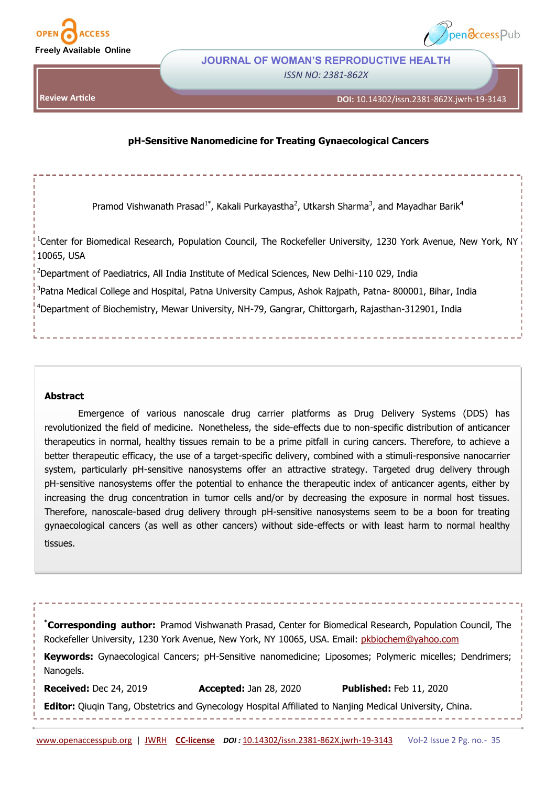

**Review Article**



# **JOURNAL OF WOMAN'S REPRODUCTIVE HEALTH** *ISSN NO: 2381-862X*

**DOI:** 10.14302/issn.2381-862X.jwrh-19-3143

## **pH-Sensitive Nanomedicine for Treating Gynaecological Cancers**

Pramod Vishwanath Prasad<sup>1\*</sup>, Kakali Purkayastha<sup>2</sup>, Utkarsh Sharma<sup>3</sup>, and Mayadhar Barik<sup>4</sup>

<sup>1</sup>Center for Biomedical Research, Population Council, The Rockefeller University, 1230 York Avenue, New York, NY 10065, USA

<sup>2</sup>Department of Paediatrics, All India Institute of Medical Sciences, New Delhi-110 029, India

<sup>3</sup>Patna Medical College and Hospital, Patna University Campus, Ashok Rajpath, Patna- 800001, Bihar, India

<sup>4</sup>Department of Biochemistry, Mewar University, NH-79, Gangrar, Chittorgarh, Rajasthan-312901, India

### **Abstract**

Emergence of various nanoscale drug carrier platforms as Drug Delivery Systems (DDS) has revolutionized the field of medicine. Nonetheless, the side-effects due to non-specific distribution of anticancer therapeutics in normal, healthy tissues remain to be a prime pitfall in curing cancers. Therefore, to achieve a better therapeutic efficacy, the use of a target-specific delivery, combined with a stimuli-responsive nanocarrier system, particularly pH-sensitive nanosystems offer an attractive strategy. Targeted drug delivery through pH-sensitive nanosystems offer the potential to enhance the therapeutic index of anticancer agents, either by increasing the drug concentration in tumor cells and/or by decreasing the exposure in normal host tissues. Therefore, nanoscale-based drug delivery through pH-sensitive nanosystems seem to be a boon for treating gynaecological cancers (as well as other cancers) without side-effects or with least harm to normal healthy tissues.

**\*Corresponding author:** Pramod Vishwanath Prasad, Center for Biomedical Research, Population Council, The Rockefeller University, 1230 York Avenue, New York, NY 10065, USA. Email: [pkbiochem@yahoo.com](mailto:pkbiochem@yahoo.com)

**Keywords:** Gynaecological Cancers; pH-Sensitive nanomedicine; Liposomes; Polymeric micelles; Dendrimers; Nanogels.

**Received:** Dec 24, 2019 **Accepted:** Jan 28, 2020 **Published:** Feb 11, 2020

**Editor:** Qiuqin Tang, Obstetrics and Gynecology Hospital Affiliated to Nanjing Medical University, China.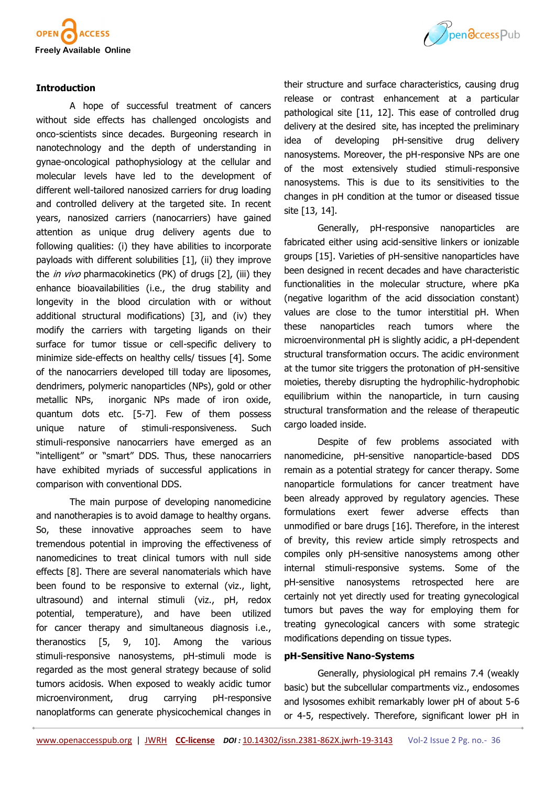

## **Introduction**

A hope of successful treatment of cancers without side effects has challenged oncologists and onco-scientists since decades. Burgeoning research in nanotechnology and the depth of understanding in gynae-oncological pathophysiology at the cellular and molecular levels have led to the development of different well-tailored nanosized carriers for drug loading and controlled delivery at the targeted site. In recent years, nanosized carriers (nanocarriers) have gained attention as unique drug delivery agents due to following qualities: (i) they have abilities to incorporate payloads with different solubilities [1], (ii) they improve the *in vivo* pharmacokinetics (PK) of drugs [2], (iii) they enhance bioavailabilities (i.e., the drug stability and longevity in the blood circulation with or without additional structural modifications) [3], and (iv) they modify the carriers with targeting ligands on their surface for tumor tissue or cell-specific delivery to minimize side-effects on healthy cells/ tissues [4]. Some of the nanocarriers developed till today are liposomes, dendrimers, polymeric nanoparticles (NPs), gold or other metallic NPs, inorganic NPs made of iron oxide, quantum dots etc. [5-7]. Few of them possess unique nature of stimuli-responsiveness. Such stimuli-responsive nanocarriers have emerged as an "intelligent" or "smart" DDS. Thus, these nanocarriers have exhibited myriads of successful applications in comparison with conventional DDS.

The main purpose of developing nanomedicine and nanotherapies is to avoid damage to healthy organs. So, these innovative approaches seem to have tremendous potential in improving the effectiveness of nanomedicines to treat clinical tumors with null side effects [8]. There are several nanomaterials which have been found to be responsive to external (viz., light, ultrasound) and internal stimuli (viz., pH, redox potential, temperature), and have been utilized for cancer therapy and simultaneous diagnosis i.e., theranostics [5, 9, 10]. Among the various stimuli-responsive nanosystems, pH-stimuli mode is regarded as the most general strategy because of solid tumors acidosis. When exposed to weakly acidic tumor microenvironment, drug carrying pH-responsive nanoplatforms can generate physicochemical changes in



their structure and surface characteristics, causing drug release or contrast enhancement at a particular pathological site [11, 12]. This ease of controlled drug delivery at the desired site, has incepted the preliminary idea of developing pH-sensitive drug delivery nanosystems. Moreover, the pH-responsive NPs are one of the most extensively studied stimuli-responsive nanosystems. This is due to its sensitivities to the changes in pH condition at the tumor or diseased tissue site [13, 14].

Generally, pH-responsive nanoparticles are fabricated either using acid-sensitive linkers or ionizable groups [15]. Varieties of pH-sensitive nanoparticles have been designed in recent decades and have characteristic functionalities in the molecular structure, where pKa (negative logarithm of the acid dissociation constant) values are close to the tumor interstitial pH. When these nanoparticles reach tumors where the microenvironmental pH is slightly acidic, a pH-dependent structural transformation occurs. The acidic environment at the tumor site triggers the protonation of pH-sensitive moieties, thereby disrupting the hydrophilic-hydrophobic equilibrium within the nanoparticle, in turn causing structural transformation and the release of therapeutic cargo loaded inside.

Despite of few problems associated with nanomedicine, pH-sensitive nanoparticle-based DDS remain as a potential strategy for cancer therapy. Some nanoparticle formulations for cancer treatment have been already approved by regulatory agencies. These formulations exert fewer adverse effects than unmodified or bare drugs [16]. Therefore, in the interest of brevity, this review article simply retrospects and compiles only pH-sensitive nanosystems among other internal stimuli-responsive systems. Some of the pH-sensitive nanosystems retrospected here are certainly not yet directly used for treating gynecological tumors but paves the way for employing them for treating gynecological cancers with some strategic modifications depending on tissue types.

### **pH-Sensitive Nano-Systems**

Generally, physiological pH remains 7.4 (weakly basic) but the subcellular compartments viz., endosomes and lysosomes exhibit remarkably lower pH of about 5-6 or 4-5, respectively. Therefore, significant lower pH in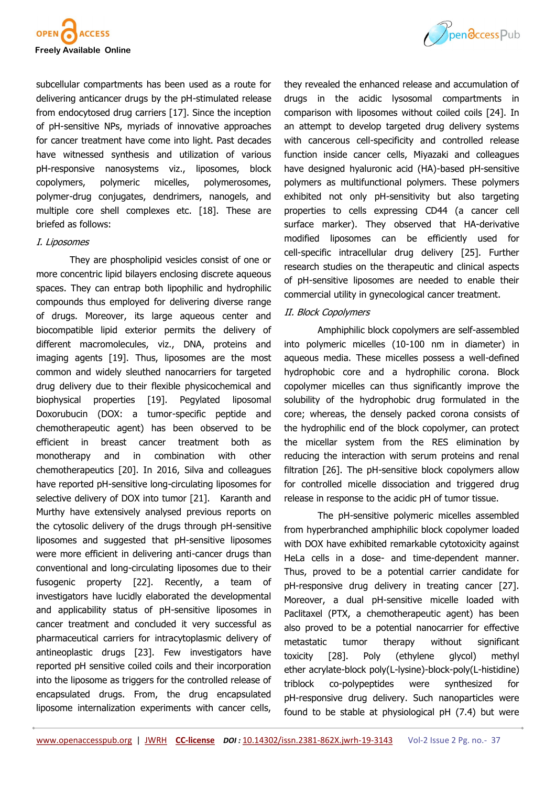

subcellular compartments has been used as a route for delivering anticancer drugs by the pH-stimulated release from endocytosed drug carriers [17]. Since the inception of pH-sensitive NPs, myriads of innovative approaches for cancer treatment have come into light. Past decades have witnessed synthesis and utilization of various pH-responsive nanosystems viz., liposomes, block copolymers, polymeric micelles, polymerosomes, polymer-drug conjugates, dendrimers, nanogels, and multiple core shell complexes etc. [18]. These are briefed as follows:

### I. Liposomes

They are phospholipid vesicles consist of one or more concentric lipid bilayers enclosing discrete aqueous spaces. They can entrap both lipophilic and hydrophilic compounds thus employed for delivering diverse range of drugs. Moreover, its large aqueous center and biocompatible lipid exterior permits the delivery of different macromolecules, viz., DNA, proteins and imaging agents [19]. Thus, liposomes are the most common and widely sleuthed nanocarriers for targeted drug delivery due to their flexible physicochemical and biophysical properties [19]. Pegylated liposomal Doxorubucin (DOX: a tumor-specific peptide and chemotherapeutic agent) has been observed to be efficient in breast cancer treatment both as monotherapy and in combination with other chemotherapeutics [20]. In 2016, Silva and colleagues have reported pH-sensitive long-circulating liposomes for selective delivery of DOX into tumor [21]. Karanth and Murthy have extensively analysed previous reports on the cytosolic delivery of the drugs through pH-sensitive liposomes and suggested that pH-sensitive liposomes were more efficient in delivering anti-cancer drugs than conventional and long-circulating liposomes due to their fusogenic property [22]. Recently, a team of investigators have lucidly elaborated the developmental and applicability status of pH-sensitive liposomes in cancer treatment and concluded it very successful as pharmaceutical carriers for intracytoplasmic delivery of antineoplastic drugs [23]. Few investigators have reported pH sensitive coiled coils and their incorporation into the liposome as triggers for the controlled release of encapsulated drugs. From, the drug encapsulated liposome internalization experiments with cancer cells,



### II. Block Copolymers

Amphiphilic block copolymers are self-assembled into polymeric micelles (10-100 nm in diameter) in aqueous media. These micelles possess a well-defined hydrophobic core and a hydrophilic corona. Block copolymer micelles can thus significantly improve the solubility of the hydrophobic drug formulated in the core; whereas, the densely packed corona consists of the hydrophilic end of the block copolymer, can protect the micellar system from the RES elimination by reducing the interaction with serum proteins and renal filtration [26]. The pH-sensitive block copolymers allow for controlled micelle dissociation and triggered drug release in response to the acidic pH of tumor tissue.

The pH-sensitive polymeric micelles assembled from hyperbranched amphiphilic block copolymer loaded with DOX have exhibited remarkable cytotoxicity against HeLa cells in a dose- and time-dependent manner. Thus, proved to be a potential carrier candidate for pH-responsive drug delivery in treating cancer [27]. Moreover, a dual pH-sensitive micelle loaded with Paclitaxel (PTX, a chemotherapeutic agent) has been also proved to be a potential nanocarrier for effective metastatic tumor therapy without significant toxicity [28]. Poly (ethylene glycol) methyl ether acrylate-block poly(L-lysine)-block-poly(L-histidine) triblock co-polypeptides were synthesized for pH-responsive drug delivery. Such nanoparticles were found to be stable at physiological pH (7.4) but were

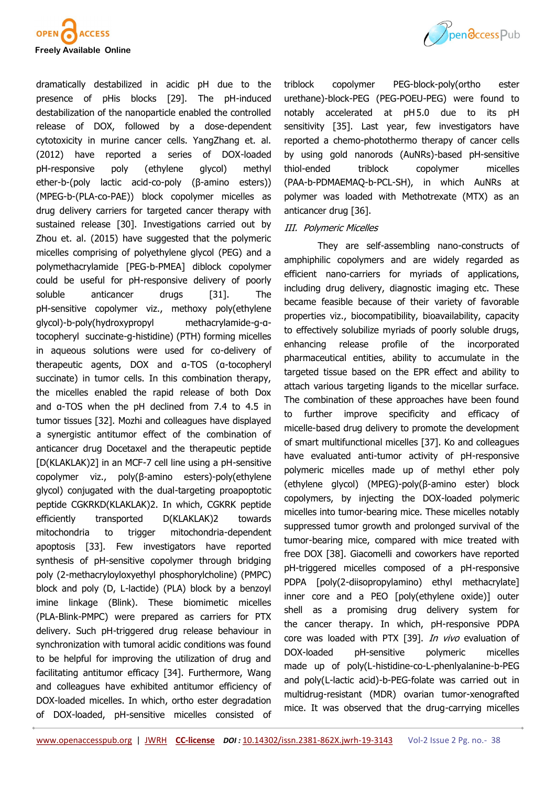



dramatically destabilized in acidic pH due to the presence of pHis blocks [29]. The pH-induced destabilization of the nanoparticle enabled the controlled release of DOX, followed by a dose-dependent cytotoxicity in murine cancer cells. YangZhang et. al. (2012) have reported a series of DOX-loaded pH-responsive poly (ethylene glycol) methyl ether-b-(poly lactic acid-co-poly (β-amino esters)) (MPEG-b-(PLA-co-PAE)) block copolymer micelles as drug delivery carriers for targeted cancer therapy with sustained release [30]. Investigations carried out by Zhou et. al. (2015) have suggested that the polymeric micelles comprising of polyethylene glycol (PEG) and a polymethacrylamide [PEG-b-PMEA] diblock copolymer could be useful for pH-responsive delivery of poorly soluble anticancer drugs [31]. The pH-sensitive copolymer viz., methoxy poly(ethylene glycol)-b-poly(hydroxypropyl methacrylamide-g-αtocopheryl succinate-g-histidine) (PTH) forming micelles in aqueous solutions were used for co-delivery of therapeutic agents, DOX and α-TOS (α-tocopheryl succinate) in tumor cells. In this combination therapy, the micelles enabled the rapid release of both Dox and α-TOS when the pH declined from 7.4 to 4.5 in tumor tissues [32]. Mozhi and colleagues have displayed a synergistic antitumor effect of the combination of anticancer drug Docetaxel and the therapeutic peptide [D(KLAKLAK)2] in an MCF-7 cell line using a pH-sensitive copolymer viz., poly(β-amino esters)-poly(ethylene glycol) conjugated with the dual-targeting proapoptotic peptide CGKRKD(KLAKLAK)2. In which, CGKRK peptide efficiently transported D(KLAKLAK)2 towards mitochondria to trigger mitochondria-dependent apoptosis [33]. Few investigators have reported synthesis of pH-sensitive copolymer through bridging poly (2-methacryloyloxyethyl phosphorylcholine) (PMPC) block and poly (D, L-lactide) (PLA) block by a benzoyl imine linkage (Blink). These biomimetic micelles (PLA-Blink-PMPC) were prepared as carriers for PTX delivery. Such pH-triggered drug release behaviour in synchronization with tumoral acidic conditions was found to be helpful for improving the utilization of drug and facilitating antitumor efficacy [34]. Furthermore, Wang and colleagues have exhibited antitumor efficiency of DOX-loaded micelles. In which, ortho ester degradation of DOX-loaded, pH-sensitive micelles consisted of

triblock copolymer PEG-block-poly(ortho ester urethane)-block-PEG (PEG-POEU-PEG) were found to notably accelerated at pH 5.0 due to its pH sensitivity [35]. Last year, few investigators have reported a chemo-photothermo therapy of cancer cells by using gold nanorods (AuNRs)-based pH-sensitive thiol-ended triblock copolymer micelles (PAA-b-PDMAEMAQ-b-PCL-SH), in which AuNRs at polymer was loaded with Methotrexate (MTX) as an anticancer drug [36].

## III. Polymeric Micelles

They are self-assembling nano-constructs of amphiphilic copolymers and are widely regarded as efficient nano-carriers for myriads of applications, including drug delivery, diagnostic imaging etc. These became feasible because of their variety of favorable properties viz., biocompatibility, bioavailability, capacity to effectively solubilize myriads of poorly soluble drugs, enhancing release profile of the incorporated pharmaceutical entities, ability to accumulate in the targeted tissue based on the EPR effect and ability to attach various targeting ligands to the micellar surface. The combination of these approaches have been found to further improve specificity and efficacy of micelle-based drug delivery to promote the development of smart multifunctional micelles [37]. Ko and colleagues have evaluated anti-tumor activity of pH-responsive polymeric micelles made up of methyl ether poly (ethylene glycol) (MPEG)-poly(β-amino ester) block copolymers, by injecting the DOX-loaded polymeric micelles into tumor-bearing mice. These micelles notably suppressed tumor growth and prolonged survival of the tumor-bearing mice, compared with mice treated with free DOX [38]. Giacomelli and coworkers have reported pH-triggered micelles composed of a pH-responsive PDPA [poly(2-diisopropylamino) ethyl methacrylate] inner core and a PEO [poly(ethylene oxide)] outer shell as a promising drug delivery system for the cancer therapy. In which, pH-responsive PDPA core was loaded with PTX [39]. *In vivo* evaluation of DOX-loaded pH-sensitive polymeric micelles made up of poly(L-histidine-co-L-phenlyalanine-b-PEG and poly(L-lactic acid)-b-PEG-folate was carried out in multidrug-resistant (MDR) ovarian tumor-xenografted mice. It was observed that the drug-carrying micelles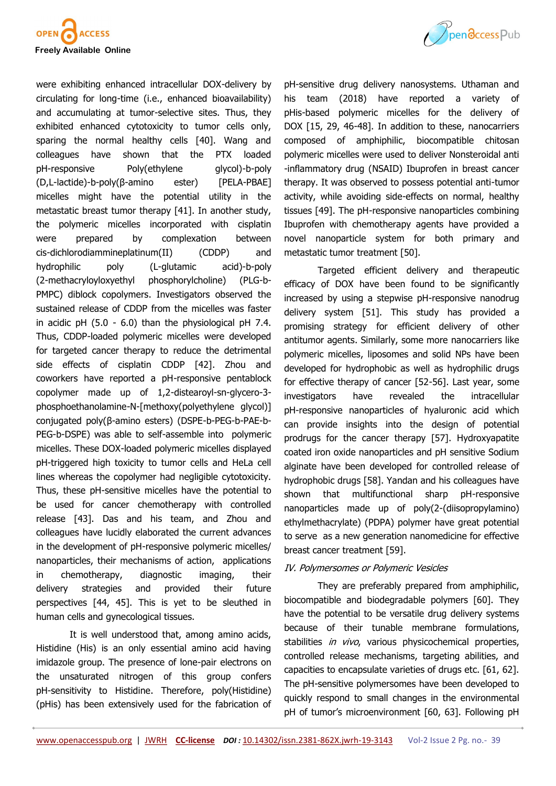

were exhibiting enhanced intracellular DOX-delivery by circulating for long-time (i.e., enhanced bioavailability) and accumulating at tumor-selective sites. Thus, they exhibited enhanced cytotoxicity to tumor cells only, sparing the normal healthy cells [40]. Wang and colleagues have shown that the PTX loaded pH-responsive Poly(ethylene glycol)-b-poly (D,L-lactide)-b-poly(β-amino ester) [PELA-PBAE] micelles might have the potential utility in the metastatic breast tumor therapy [41]. In another study, the polymeric micelles incorporated with cisplatin were prepared by complexation between cis-dichlorodiammineplatinum(II) (CDDP) and hydrophilic poly (L-glutamic acid)-b-poly (2-methacryloyloxyethyl phosphorylcholine) (PLG-b-PMPC) diblock copolymers. Investigators observed the sustained release of CDDP from the micelles was faster in acidic pH (5.0 - 6.0) than the physiological pH 7.4. Thus, CDDP-loaded polymeric micelles were developed for targeted cancer therapy to reduce the detrimental side effects of cisplatin CDDP [42]. Zhou and coworkers have reported a pH-responsive pentablock copolymer made up of 1,2-distearoyl-sn-glycero-3 phosphoethanolamine-N-[methoxy(polyethylene glycol)] conjugated poly(β-amino esters) (DSPE-b-PEG-b-PAE-b-PEG-b-DSPE) was able to self-assemble into polymeric micelles. These DOX-loaded polymeric micelles displayed pH-triggered high toxicity to tumor cells and HeLa cell lines whereas the copolymer had negligible cytotoxicity. Thus, these pH-sensitive micelles have the potential to be used for cancer chemotherapy with controlled release [43]. Das and his team, and Zhou and colleagues have lucidly elaborated the current advances in the development of pH-responsive polymeric micelles/ nanoparticles, their mechanisms of action, applications in chemotherapy, diagnostic imaging, their delivery strategies and provided their future perspectives [44, 45]. This is yet to be sleuthed in human cells and gynecological tissues.

It is well understood that, among amino acids, Histidine (His) is an only essential amino acid having imidazole group. The presence of lone-pair electrons on the unsaturated nitrogen of this group confers pH-sensitivity to Histidine. Therefore, poly(Histidine) (pHis) has been extensively used for the fabrication of



pH-sensitive drug delivery nanosystems. Uthaman and his team (2018) have reported a variety of pHis-based polymeric micelles for the delivery of DOX [15, 29, 46-48]. In addition to these, nanocarriers composed of amphiphilic, biocompatible chitosan polymeric micelles were used to deliver Nonsteroidal anti -inflammatory drug (NSAID) Ibuprofen in breast cancer therapy. It was observed to possess potential anti-tumor activity, while avoiding side-effects on normal, healthy tissues [49]. The pH-responsive nanoparticles combining Ibuprofen with chemotherapy agents have provided a novel nanoparticle system for both primary and metastatic tumor treatment [50].

Targeted efficient delivery and therapeutic efficacy of DOX have been found to be significantly increased by using a stepwise pH-responsive nanodrug delivery system [51]. This study has provided a promising strategy for efficient delivery of other antitumor agents. Similarly, some more nanocarriers like polymeric micelles, liposomes and solid NPs have been developed for hydrophobic as well as hydrophilic drugs for effective therapy of cancer [52-56]. Last year, some investigators have revealed the intracellular pH-responsive nanoparticles of hyaluronic acid which can provide insights into the design of potential prodrugs for the cancer therapy [57]. Hydroxyapatite coated iron oxide nanoparticles and pH sensitive Sodium alginate have been developed for controlled release of hydrophobic drugs [58]. Yandan and his colleagues have shown that multifunctional sharp pH-responsive nanoparticles made up of poly(2-(diisopropylamino) ethylmethacrylate) (PDPA) polymer have great potential to serve as a new generation nanomedicine for effective breast cancer treatment [59].

## IV. Polymersomes or Polymeric Vesicles

They are preferably prepared from amphiphilic, biocompatible and biodegradable polymers [60]. They have the potential to be versatile drug delivery systems because of their tunable membrane formulations, stabilities *in vivo*, various physicochemical properties, controlled release mechanisms, targeting abilities, and capacities to encapsulate varieties of drugs etc. [61, 62]. The pH-sensitive polymersomes have been developed to quickly respond to small changes in the environmental pH of tumor's microenvironment [60, 63]. Following pH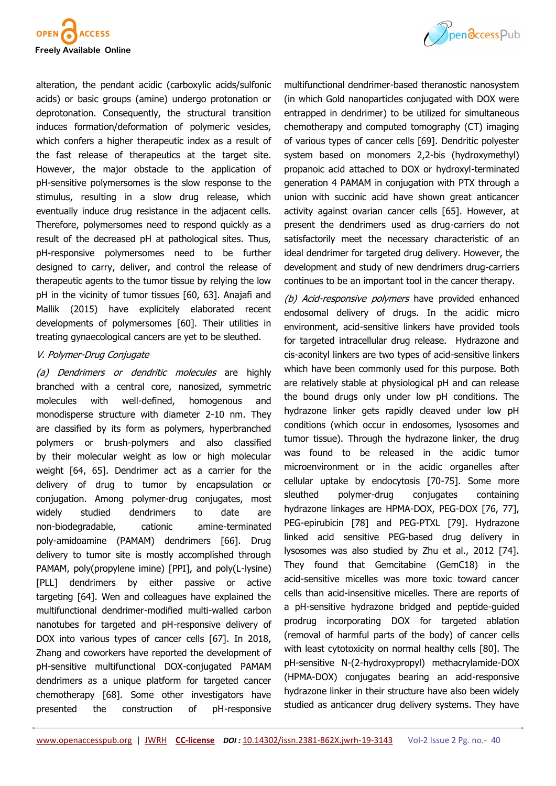



alteration, the pendant acidic (carboxylic acids/sulfonic acids) or basic groups (amine) undergo protonation or deprotonation. Consequently, the structural transition induces formation/deformation of polymeric vesicles, which confers a higher therapeutic index as a result of the fast release of therapeutics at the target site. However, the major obstacle to the application of pH-sensitive polymersomes is the slow response to the stimulus, resulting in a slow drug release, which eventually induce drug resistance in the adjacent cells. Therefore, polymersomes need to respond quickly as a result of the decreased pH at pathological sites. Thus, pH-responsive polymersomes need to be further designed to carry, deliver, and control the release of therapeutic agents to the tumor tissue by relying the low pH in the vicinity of tumor tissues [60, 63]. Anajafi and Mallik (2015) have explicitely elaborated recent developments of polymersomes [60]. Their utilities in treating gynaecological cancers are yet to be sleuthed.

## V. Polymer-Drug Conjugate

(a) Dendrimers or dendritic molecules are highly branched with a central core, nanosized, symmetric molecules with well-defined, homogenous and monodisperse structure with diameter 2-10 nm. They are classified by its form as polymers, hyperbranched polymers or brush-polymers and also classified by their molecular weight as low or high molecular weight [64, 65]. Dendrimer act as a carrier for the delivery of drug to tumor by encapsulation or conjugation. Among polymer-drug conjugates, most widely studied dendrimers to date are non-biodegradable, cationic amine-terminated poly-amidoamine (PAMAM) dendrimers [66]. Drug delivery to tumor site is mostly accomplished through PAMAM, poly(propylene imine) [PPI], and poly(L-lysine) [PLL] dendrimers by either passive or active targeting [64]. Wen and colleagues have explained the multifunctional dendrimer-modified multi-walled carbon nanotubes for targeted and pH-responsive delivery of DOX into various types of cancer cells [67]. In 2018, Zhang and coworkers have reported the development of pH-sensitive multifunctional DOX-conjugated PAMAM dendrimers as a unique platform for targeted cancer chemotherapy [68]. Some other investigators have presented the construction of pH-responsive

multifunctional dendrimer-based theranostic nanosystem (in which Gold nanoparticles conjugated with DOX were entrapped in dendrimer) to be utilized for simultaneous chemotherapy and computed tomography (CT) imaging of various types of cancer cells [69]. Dendritic polyester system based on monomers 2,2-bis (hydroxymethyl) propanoic acid attached to DOX or hydroxyl-terminated generation 4 PAMAM in conjugation with PTX through a union with succinic acid have shown great anticancer activity against ovarian cancer cells [65]. However, at present the dendrimers used as drug-carriers do not satisfactorily meet the necessary characteristic of an ideal dendrimer for targeted drug delivery. However, the development and study of new dendrimers drug-carriers continues to be an important tool in the cancer therapy.

(b) Acid-responsive polymers have provided enhanced endosomal delivery of drugs. In the acidic micro environment, acid-sensitive linkers have provided tools for targeted intracellular drug release. Hydrazone and cis-aconityl linkers are two types of acid-sensitive linkers which have been commonly used for this purpose. Both are relatively stable at physiological pH and can release the bound drugs only under low pH conditions. The hydrazone linker gets rapidly cleaved under low pH conditions (which occur in endosomes, lysosomes and tumor tissue). Through the hydrazone linker, the drug was found to be released in the acidic tumor microenvironment or in the acidic organelles after cellular uptake by endocytosis [70-75]. Some more sleuthed polymer-drug conjugates containing hydrazone linkages are HPMA-DOX, PEG-DOX [76, 77], PEG-epirubicin [78] and PEG-PTXL [79]. Hydrazone linked acid sensitive PEG-based drug delivery in lysosomes was also studied by Zhu et al., 2012 [74]. They found that Gemcitabine (GemC18) in the acid-sensitive micelles was more toxic toward cancer cells than acid-insensitive micelles. There are reports of a pH-sensitive hydrazone bridged and peptide-guided prodrug incorporating DOX for targeted ablation (removal of harmful parts of the body) of cancer cells with least cytotoxicity on normal healthy cells [80]. The pH-sensitive N-(2-hydroxypropyl) methacrylamide-DOX (HPMA-DOX) conjugates bearing an acid-responsive hydrazone linker in their structure have also been widely studied as anticancer drug delivery systems. They have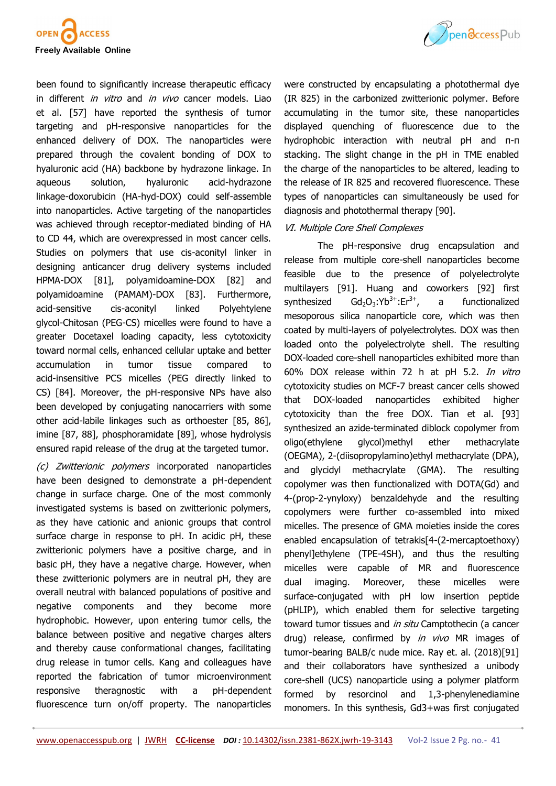



been found to significantly increase therapeutic efficacy in different *in vitro* and *in vivo* cancer models. Liao et al. [57] have reported the synthesis of tumor targeting and pH-responsive nanoparticles for the enhanced delivery of DOX. The nanoparticles were prepared through the covalent bonding of DOX to hyaluronic acid (HA) backbone by hydrazone linkage. In aqueous solution, hyaluronic acid-hydrazone linkage-doxorubicin (HA-hyd-DOX) could self-assemble into nanoparticles. Active targeting of the nanoparticles was achieved through receptor-mediated binding of HA to CD 44, which are overexpressed in most cancer cells. Studies on polymers that use cis-aconityl linker in designing anticancer drug delivery systems included HPMA-DOX [81], polyamidoamine-DOX [82] and polyamidoamine (PAMAM)-DOX [83]. Furthermore, acid-sensitive cis-aconityl linked Polyehtylene glycol-Chitosan (PEG-CS) micelles were found to have a greater Docetaxel loading capacity, less cytotoxicity toward normal cells, enhanced cellular uptake and better accumulation in tumor tissue compared to acid-insensitive PCS micelles (PEG directly linked to CS) [84]. Moreover, the pH-responsive NPs have also been developed by conjugating nanocarriers with some other acid-labile linkages such as orthoester [85, 86], imine [87, 88], phosphoramidate [89], whose hydrolysis ensured rapid release of the drug at the targeted tumor.

(c) Zwitterionic polymers incorporated nanoparticles have been designed to demonstrate a pH-dependent change in surface charge. One of the most commonly investigated systems is based on zwitterionic polymers, as they have cationic and anionic groups that control surface charge in response to pH. In acidic pH, these zwitterionic polymers have a positive charge, and in basic pH, they have a negative charge. However, when these zwitterionic polymers are in neutral pH, they are overall neutral with balanced populations of positive and negative components and they become more hydrophobic. However, upon entering tumor cells, the balance between positive and negative charges alters and thereby cause conformational changes, facilitating drug release in tumor cells. Kang and colleagues have reported the fabrication of tumor microenvironment responsive theragnostic with a pH-dependent fluorescence turn on/off property. The nanoparticles

were constructed by encapsulating a photothermal dye (IR 825) in the carbonized zwitterionic polymer. Before accumulating in the tumor site, these nanoparticles displayed quenching of fluorescence due to the hydrophobic interaction with neutral pH and π-π stacking. The slight change in the pH in TME enabled the charge of the nanoparticles to be altered, leading to the release of IR 825 and recovered fluorescence. These types of nanoparticles can simultaneously be used for diagnosis and photothermal therapy [90].

## VI. Multiple Core Shell Complexes

The pH-responsive drug encapsulation and release from multiple core-shell nanoparticles become feasible due to the presence of polyelectrolyte multilayers [91]. Huang and coworkers [92] first synthesized  $Gd_2O_3$ :Yb<sup>3+</sup>:Er<sup>3+</sup>, , a functionalized mesoporous silica nanoparticle core, which was then coated by multi-layers of polyelectrolytes. DOX was then loaded onto the polyelectrolyte shell. The resulting DOX-loaded core-shell nanoparticles exhibited more than 60% DOX release within 72 h at pH 5.2. In vitro cytotoxicity studies on MCF-7 breast cancer cells showed that DOX-loaded nanoparticles exhibited higher cytotoxicity than the free DOX. Tian et al. [93] synthesized an azide-terminated diblock copolymer from oligo(ethylene glycol)methyl ether methacrylate (OEGMA), 2-(diisopropylamino)ethyl methacrylate (DPA), and glycidyl methacrylate (GMA). The resulting copolymer was then functionalized with DOTA(Gd) and 4-(prop-2-ynyloxy) benzaldehyde and the resulting copolymers were further co-assembled into mixed micelles. The presence of GMA moieties inside the cores enabled encapsulation of tetrakis[4-(2-mercaptoethoxy) phenyl]ethylene (TPE-4SH), and thus the resulting micelles were capable of MR and fluorescence dual imaging. Moreover, these micelles were surface-conjugated with pH low insertion peptide (pHLIP), which enabled them for selective targeting toward tumor tissues and in situ Camptothecin (a cancer drug) release, confirmed by *in vivo* MR images of tumor-bearing BALB/c nude mice. Ray et. al. (2018)[91] and their collaborators have synthesized a unibody core-shell (UCS) nanoparticle using a polymer platform formed by resorcinol and 1,3-phenylenediamine monomers. In this synthesis, Gd3+was first conjugated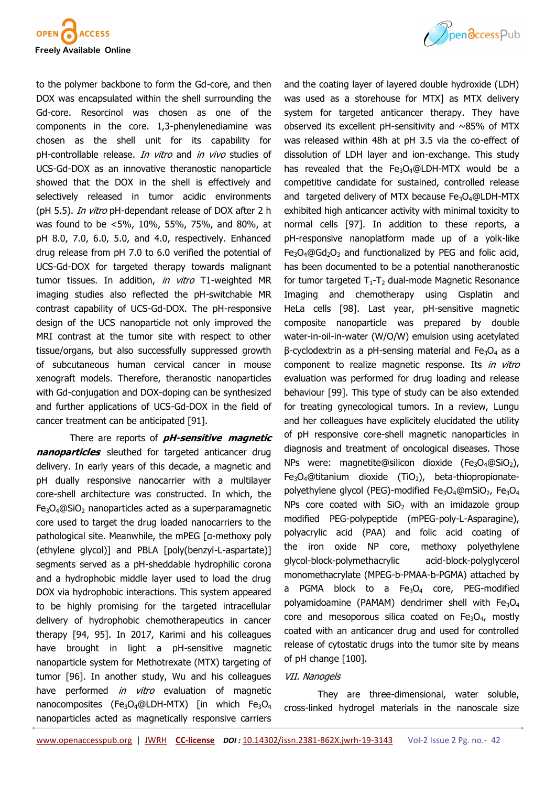

to the polymer backbone to form the Gd-core, and then DOX was encapsulated within the shell surrounding the Gd-core. Resorcinol was chosen as one of the components in the core. 1,3-phenylenediamine was chosen as the shell unit for its capability for pH-controllable release. In vitro and in vivo studies of UCS-Gd-DOX as an innovative theranostic nanoparticle showed that the DOX in the shell is effectively and selectively released in tumor acidic environments (pH 5.5). *In vitro* pH-dependant release of DOX after 2 h was found to be <5%, 10%, 55%, 75%, and 80%, at pH 8.0, 7.0, 6.0, 5.0, and 4.0, respectively. Enhanced drug release from pH 7.0 to 6.0 verified the potential of UCS-Gd-DOX for targeted therapy towards malignant tumor tissues. In addition, in vitro T1-weighted MR imaging studies also reflected the pH-switchable MR contrast capability of UCS-Gd-DOX. The pH-responsive design of the UCS nanoparticle not only improved the MRI contrast at the tumor site with respect to other tissue/organs, but also successfully suppressed growth of subcutaneous human cervical cancer in mouse xenograft models. Therefore, theranostic nanoparticles with Gd-conjugation and DOX-doping can be synthesized and further applications of UCS-Gd-DOX in the field of cancer treatment can be anticipated [91].

There are reports of **pH-sensitive magnetic nanoparticles** sleuthed for targeted anticancer drug delivery. In early years of this decade, a magnetic and pH dually responsive nanocarrier with a multilayer core-shell architecture was constructed. In which, the  $Fe<sub>3</sub>O<sub>4</sub>@SiO<sub>2</sub>$  nanoparticles acted as a superparamagnetic core used to target the drug loaded nanocarriers to the pathological site. Meanwhile, the mPEG [α-methoxy poly (ethylene glycol)] and PBLA [poly(benzyl-L-aspartate)] segments served as a pH-sheddable hydrophilic corona and a hydrophobic middle layer used to load the drug DOX via hydrophobic interactions. This system appeared to be highly promising for the targeted intracellular delivery of hydrophobic chemotherapeutics in cancer therapy [94, 95]. In 2017, Karimi and his colleagues have brought in light a pH-sensitive magnetic nanoparticle system for Methotrexate (MTX) targeting of tumor [96]. In another study, Wu and his colleagues have performed *in vitro* evaluation of magnetic nanocomposites (Fe<sub>3</sub>O<sub>4</sub>@LDH-MTX) [in which Fe<sub>3</sub>O<sub>4</sub> nanoparticles acted as magnetically responsive carriers



and the coating layer of [layered double hydroxide \(](https://www.sciencedirect.com/topics/materials-science/layered-double-hydroxides)LDH) was used as a storehouse for MTX] as MTX delivery system for targeted anticancer therapy. They have observed its excellent pH-sensitivity and  $~\sim$ 85% of MTX was released within 48h at pH 3.5 via the co-effect of dissolution of LDH layer and ion-exchange. This study has revealed that the  $Fe<sub>3</sub>O<sub>4</sub>@LDH-MTX$  would be a competitive candidate for sustained, controlled release and targeted delivery of MTX because  $Fe<sub>3</sub>O<sub>4</sub>@LDH-MTX$ exhibited high anticancer activity with minimal toxicity to normal cells [97]. In addition to these reports, a pH-responsive nanoplatform made up of a yolk-like  $Fe<sub>3</sub>O<sub>4</sub>@Gd<sub>2</sub>O<sub>3</sub>$  and functionalized by PEG and folic acid, has been documented to be a potential nanotheranostic for tumor targeted  $T_1$ - $T_2$  dual-mode Magnetic Resonance Imaging and chemotherapy using Cisplatin and HeLa cells [98]. Last year, pH-sensitive magnetic composite nanoparticle was prepared by double water-in-oil-in-water (W/O/W) emulsion using acetylated β-cyclodextrin as a pH-sensing material and  $Fe<sub>3</sub>O<sub>4</sub>$  as a component to realize magnetic response. Its in vitro evaluation was performed for drug loading and release behaviour [99]. This type of study can be also extended for treating gynecological tumors. In a review, Lungu and her colleagues have explicitely elucidated the utility of pH responsive core-shell magnetic nanoparticles in diagnosis and treatment of oncological diseases. Those NPs were: magnetite@silicon dioxide (Fe<sub>3</sub>O<sub>4</sub>@SiO<sub>2</sub>),  $Fe<sub>3</sub>O<sub>4</sub>@titanium$  dioxide (TiO<sub>2</sub>), beta-thiopropionatepolyethylene glycol (PEG)-modified Fe<sub>3</sub>O<sub>4</sub>@mSiO<sub>2</sub>, Fe<sub>3</sub>O<sub>4</sub> NPs core coated with  $SiO<sub>2</sub>$  with an imidazole group modified PEG-polypeptide (mPEG-poly-L-Asparagine), polyacrylic acid (PAA) and folic acid coating of the iron oxide NP core, methoxy polyethylene glycol-block-polymethacrylic acid-block-polyglycerol monomethacrylate (MPEG-b-PMAA-b-PGMA) attached by a PGMA block to a  $Fe<sub>3</sub>O<sub>4</sub>$  core, PEG-modified polyamidoamine (PAMAM) dendrimer shell with  $Fe<sub>3</sub>O<sub>4</sub>$ core and mesoporous silica coated on  $Fe<sub>3</sub>O<sub>4</sub>$ , mostly coated with an anticancer drug and used for controlled release of cytostatic drugs into the tumor site by means of pH change [100].

### VII. Nanogels

They are three-dimensional, water soluble, cross-linked hydrogel materials in the nanoscale size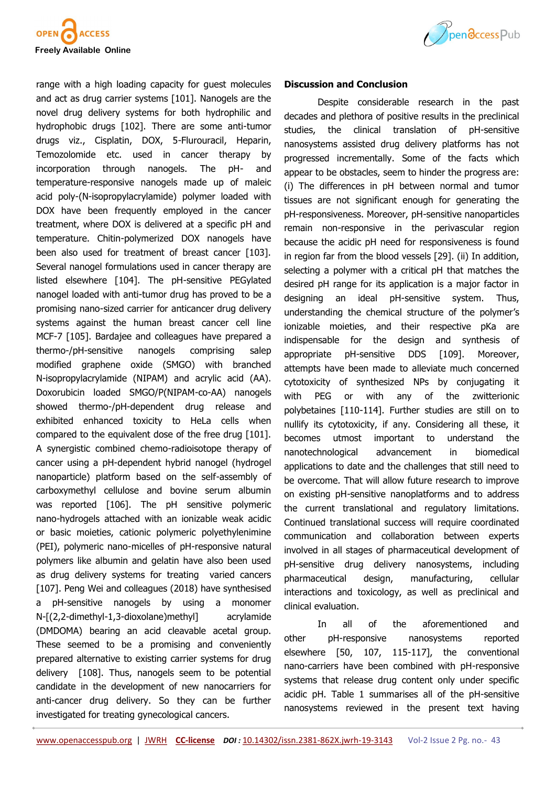

range with a high loading capacity for guest molecules and act as drug carrier systems [101]. Nanogels are the novel drug delivery systems for both hydrophilic and hydrophobic drugs [102]. There are some anti-tumor drugs viz., Cisplatin, DOX, 5-Flurouracil, Heparin, Temozolomide etc. used in cancer therapy by incorporation through nanogels. The pH- and temperature-responsive nanogels made up of maleic acid poly-(N-isopropylacrylamide) polymer loaded with DOX have been frequently employed in the cancer treatment, where DOX is delivered at a specific pH and temperature. Chitin-polymerized DOX nanogels have been also used for treatment of breast cancer [103]. Several nanogel formulations used in cancer therapy are listed elsewhere [104]. The pH-sensitive PEGylated nanogel loaded with anti-tumor drug has proved to be a promising nano-sized carrier for anticancer drug delivery systems against the human breast cancer cell line MCF-7 [105]. Bardajee and colleagues have prepared a thermo-/pH-sensitive nanogels comprising salep modified graphene oxide (SMGO) with branched N-isopropylacrylamide (NIPAM) and acrylic acid (AA). Doxorubicin loaded SMGO/P(NIPAM-co-AA) nanogels showed thermo-/pH-dependent drug release and exhibited enhanced toxicity to HeLa cells when compared to the equivalent dose of the free drug [101]. A synergistic combined chemo-radioisotope therapy of cancer using a pH-dependent hybrid nanogel (hydrogel nanoparticle) platform based on the self-assembly of carboxymethyl cellulose and bovine serum albumin was reported [106]. The pH sensitive polymeric nano-hydrogels attached with an ionizable weak acidic or basic moieties, cationic polymeric polyethylenimine (PEI), polymeric nano-micelles of pH-responsive natural polymers like albumin and gelatin have also been used as drug delivery systems for treating varied cancers [107]. Peng Wei and colleagues (2018) have synthesised a pH-sensitive nanogels by using a monomer N-[(2,2-dimethyl-1,3-dioxolane)methyl] acrylamide (DMDOMA) bearing an acid cleavable acetal group. These seemed to be a promising and conveniently prepared alternative to existing carrier systems for drug delivery [108]. Thus, nanogels seem to be potential candidate in the development of new nanocarriers for anti-cancer drug delivery. So they can be further investigated for treating gynecological cancers.



### **Discussion and Conclusion**

Despite considerable research in the past decades and plethora of positive results in the preclinical studies, the clinical translation of pH-sensitive nanosystems assisted drug delivery platforms has not progressed incrementally. Some of the facts which appear to be obstacles, seem to hinder the progress are: (i) The differences in pH between normal and tumor tissues are not significant enough for generating the pH-responsiveness. Moreover, pH-sensitive nanoparticles remain non-responsive in the perivascular region because the acidic pH need for responsiveness is found in region far from the blood vessels [29]. (ii) In addition, selecting a polymer with a critical pH that matches the desired pH range for its application is a major factor in designing an ideal pH-sensitive system. Thus, understanding the chemical structure of the polymer's ionizable moieties, and their respective pKa are indispensable for the design and synthesis of appropriate pH-sensitive DDS [109]. Moreover, attempts have been made to alleviate much concerned cytotoxicity of synthesized NPs by conjugating it with PEG or with any of the zwitterionic polybetaines [110-114]. Further studies are still on to nullify its cytotoxicity, if any. Considering all these, it becomes utmost important to understand the nanotechnological advancement in biomedical applications to date and the challenges that still need to be overcome. That will allow future research to improve on existing pH-sensitive nanoplatforms and to address the current translational and regulatory limitations. Continued translational success will require coordinated communication and collaboration between experts involved in all stages of pharmaceutical development of pH-sensitive drug delivery nanosystems, including pharmaceutical design, manufacturing, cellular interactions and toxicology, as well as preclinical and clinical evaluation.

In all of the aforementioned and other pH-responsive nanosystems reported elsewhere [50, 107, 115-117], the conventional nano-carriers have been combined with pH-responsive systems that release drug content only under specific acidic pH. Table 1 summarises all of the pH-sensitive nanosystems reviewed in the present text having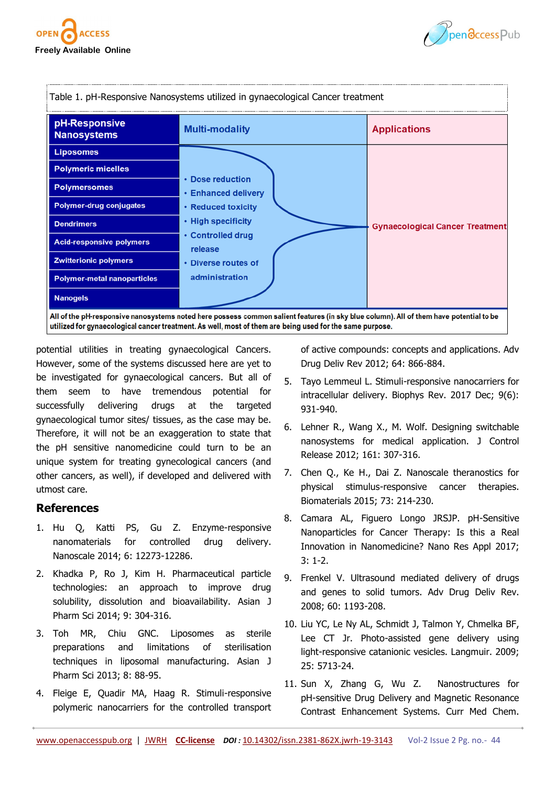





potential utilities in treating gynaecological Cancers. However, some of the systems discussed here are yet to be investigated for gynaecological cancers. But all of them seem to have tremendous potential for successfully delivering drugs at the targeted gynaecological tumor sites/ tissues, as the case may be. Therefore, it will not be an exaggeration to state that the pH sensitive nanomedicine could turn to be an unique system for treating gynecological cancers (and other cancers, as well), if developed and delivered with utmost care.

# **References**

- 1. Hu Q, Katti PS, Gu Z. Enzyme-responsive nanomaterials for controlled drug delivery. Nanoscale 2014; 6: 12273-12286.
- 2. Khadka P, Ro J, Kim H. Pharmaceutical particle technologies: an approach to improve drug solubility, dissolution and bioavailability. Asian J Pharm Sci 2014; 9: 304-316.
- 3. Toh MR, Chiu GNC. Liposomes as sterile preparations and limitations of sterilisation techniques in liposomal manufacturing. Asian J Pharm Sci 2013; 8: 88-95.
- 4. Fleige E, Quadir MA, Haag R. Stimuli-responsive polymeric nanocarriers for the controlled transport

of active compounds: concepts and applications. Adv Drug Deliv Rev 2012; 64: 866-884.

- 5. Tayo Lemmeul L. Stimuli-responsive nanocarriers for intracellular delivery. Biophys Rev. 2017 Dec; 9(6): 931-940.
- 6. Lehner R., Wang X., M. Wolf. Designing switchable nanosystems for medical application. J Control Release 2012; 161: 307-316.
- 7. Chen Q., Ke H., Dai Z. Nanoscale theranostics for physical stimulus-responsive cancer therapies. Biomaterials 2015; 73: 214-230.
- 8. Camara AL, Figuero Longo JRSJP. pH-Sensitive Nanoparticles for Cancer Therapy: Is this a Real Innovation in Nanomedicine? Nano Res Appl 2017; 3: 1-2.
- 9. Frenkel V. Ultrasound mediated delivery of drugs and genes to solid tumors. Adv Drug Deliv Rev. 2008; 60: 1193-208.
- 10. Liu YC, Le Ny AL, Schmidt J, Talmon Y, Chmelka BF, Lee CT Jr. Photo-assisted gene delivery using light-responsive catanionic vesicles. Langmuir. 2009; 25: 5713-24.
- 11. Sun X, Zhang G, Wu Z. Nanostructures for pH-sensitive Drug Delivery and Magnetic Resonance Contrast Enhancement Systems. Curr Med Chem.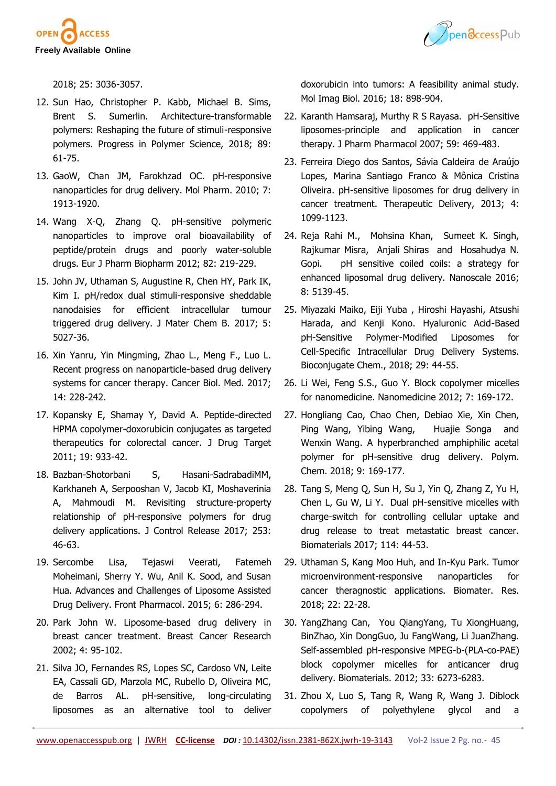



2018; 25: 3036-3057.

- 12. Sun Hao, Christopher P. Kabb, Michael B. Sims, Brent S. Sumerlin. Architecture-transformable polymers: Reshaping the future of stimuli-responsive polymers. Progress in Polymer Science, 2018; 89: 61-75.
- 13. GaoW, Chan JM, Farokhzad OC. pH-responsive nanoparticles for drug delivery. Mol Pharm. 2010; 7: 1913-1920.
- 14. Wang X-Q, Zhang Q. pH-sensitive polymeric nanoparticles to improve oral bioavailability of peptide/protein drugs and poorly water-soluble drugs. Eur J Pharm Biopharm 2012; 82: 219-229.
- 15. John JV, Uthaman S, Augustine R, Chen HY, Park IK, Kim I. pH/redox dual stimuli-responsive sheddable nanodaisies for efficient intracellular tumour triggered drug delivery. J Mater Chem B. 2017; 5: 5027-36.
- 16. Xin Yanru, Yin Mingming, Zhao L., Meng F., Luo L. Recent progress on nanoparticle-based drug delivery systems for cancer therapy. Cancer Biol. Med. 2017; 14: 228-242.
- 17. Kopansky E, Shamay Y, David A. Peptide-directed HPMA copolymer-doxorubicin conjugates as targeted therapeutics for colorectal cancer. J Drug Target 2011; 19: 933-42.
- 18. Bazban-Shotorbani S, Hasani-SadrabadiMM, Karkhaneh A, Serpooshan V, Jacob KI, Moshaverinia A, Mahmoudi M. Revisiting structure-property relationship of pH-responsive polymers for drug delivery applications. J Control Release 2017; 253: 46-63.
- 19. Sercombe Lisa, Tejaswi Veerati, Fatemeh Moheimani, Sherry Y. Wu, Anil K. Sood, and Susan Hua. Advances and Challenges of Liposome Assisted Drug Delivery. Front Pharmacol. 2015; 6: 286-294.
- 20. Park John W. Liposome-based drug delivery in breast cancer treatment. Breast Cancer Research 2002; 4: 95-102.
- 21. Silva JO, Fernandes RS, Lopes SC, Cardoso VN, Leite EA, Cassali GD, Marzola MC, Rubello D, Oliveira MC, de Barros AL. pH-sensitive, long-circulating liposomes as an alternative tool to deliver

doxorubicin into tumors: A feasibility animal study. Mol Imag Biol. 2016; 18: 898-904.

- 22. Karanth Hamsaraj, Murthy R S Rayasa. pH-Sensitive liposomes-principle and application in cancer therapy. J Pharm Pharmacol 2007; 59: 469-483.
- 23. Ferreira Diego dos Santos, Sávia Caldeira de Araújo Lopes, Marina Santiago Franco & Mônica Cristina Oliveira. pH-sensitive liposomes for drug delivery in cancer treatment. Therapeutic Delivery, 2013; 4: 1099-1123.
- 24. Reja Rahi M., Mohsina Khan, Sumeet K. Singh, Rajkumar Misra, Anjali Shiras and Hosahudya N. Gopi. pH sensitive coiled coils: a strategy for enhanced liposomal drug delivery. Nanoscale 2016; 8: 5139-45.
- 25. Miyazaki Maiko, Eiji Yuba , Hiroshi Hayashi, Atsushi Harada, and Kenji Kono. Hyaluronic Acid-Based pH-Sensitive Polymer-Modified Liposomes for Cell-Specific Intracellular Drug Delivery Systems. Bioconjugate Chem., 2018; 29: 44-55.
- 26. Li Wei, Feng S.S., Guo Y. Block copolymer micelles for nanomedicine. Nanomedicine 2012; 7: 169-172.
- 27. Hongliang Cao, Chao Chen, Debiao Xie, Xin Chen, Ping Wang, Yibing Wang, Huajie Songa and Wenxin Wang. A hyperbranched amphiphilic acetal polymer for pH-sensitive drug delivery. Polym. Chem. 2018; 9: 169-177.
- 28. Tang S, Meng Q, Sun H, Su J, Yin Q, Zhang Z, Yu H, Chen L, Gu W, Li Y. Dual pH-sensitive micelles with charge-switch for controlling cellular uptake and drug release to treat metastatic breast cancer. Biomaterials 2017; 114: 44-53.
- 29. Uthaman S, Kang Moo Huh, and In-Kyu Park. Tumor microenvironment-responsive nanoparticles for cancer theragnostic applications. Biomater. Res. 2018; 22: 22-28.
- 30. YangZhang Can, You QiangYang, Tu XiongHuang, BinZhao, Xin DongGuo, Ju FangWang, Li JuanZhang. Self-assembled pH-responsive MPEG-b-(PLA-co-PAE) block copolymer micelles for anticancer drug delivery. Biomaterials. 2012; 33: 6273-6283.
- 31. Zhou X, Luo S, Tang R, Wang R, Wang J. Diblock copolymers of polyethylene glycol and a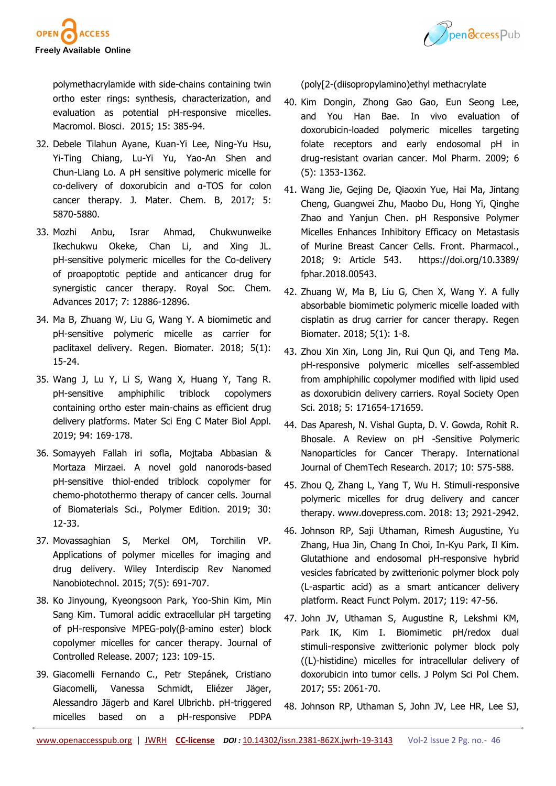



polymethacrylamide with side-chains containing twin ortho ester rings: synthesis, characterization, and evaluation as potential pH-responsive micelles. Macromol. Biosci. 2015; 15: 385-94.

- 32. Debele Tilahun Ayane, Kuan-Yi Lee, Ning-Yu Hsu, Yi-Ting Chiang, Lu-Yi Yu, Yao-An Shen and Chun-Liang Lo. A pH sensitive polymeric micelle for co-delivery of doxorubicin and α-TOS for colon cancer therapy. J. Mater. Chem. B, 2017; 5: 5870-5880.
- 33. Mozhi Anbu, Israr Ahmad, Chukwunweike Ikechukwu Okeke, Chan Li, and Xing JL. pH-sensitive polymeric micelles for the Co-delivery of proapoptotic peptide and anticancer drug for synergistic cancer therapy. Royal Soc. Chem. Advances 2017; 7: 12886-12896.
- 34. Ma B, Zhuang W, Liu G, Wang Y. A biomimetic and pH-sensitive polymeric micelle as carrier for paclitaxel delivery. Regen. Biomater. 2018; 5(1): 15-24.
- 35. Wang J, Lu Y, Li S, Wang X, Huang Y, Tang R. pH-sensitive amphiphilic triblock copolymers containing ortho ester main-chains as efficient drug delivery platforms. Mater Sci Eng C Mater Biol Appl. 2019; 94: 169-178.
- 36. Somayyeh Fallah iri sofla, Mojtaba Abbasian & Mortaza Mirzaei. A novel gold nanorods-based pH-sensitive thiol-ended triblock copolymer for chemo-photothermo therapy of cancer cells. Journal of Biomaterials Sci., Polymer Edition. 2019; 30: 12-33.
- 37. Movassaghian S, Merkel OM, Torchilin VP. Applications of polymer micelles for imaging and drug delivery. Wiley Interdiscip Rev Nanomed Nanobiotechnol. 2015; 7(5): 691-707.
- 38. Ko Jinyoung, Kyeongsoon Park, Yoo-Shin Kim, Min Sang Kim. Tumoral acidic extracellular pH targeting of pH-responsive MPEG-poly(β-amino ester) block copolymer micelles for cancer therapy. Journal of Controlled Release. 2007; 123: 109-15.
- 39. Giacomelli Fernando C., Petr Stepánek, Cristiano Giacomelli, Vanessa Schmidt, Eliézer Jäger, Alessandro Jägerb and Karel Ulbrichb. pH-triggered micelles based on a pH-responsive PDPA

(poly[2-(diisopropylamino)ethyl methacrylate

- 40. Kim Dongin, Zhong Gao Gao, Eun Seong Lee, and You Han Bae. In vivo evaluation of doxorubicin-loaded polymeric micelles targeting folate receptors and early endosomal pH in drug-resistant ovarian cancer. Mol Pharm. 2009; 6 (5): 1353-1362.
- 41. Wang Jie, Gejing De, Qiaoxin Yue, Hai Ma, Jintang Cheng, Guangwei Zhu, Maobo Du, Hong Yi, Qinghe Zhao and Yanjun Chen. pH Responsive Polymer Micelles Enhances Inhibitory Efficacy on Metastasis of Murine Breast Cancer Cells. Front. Pharmacol., 2018; 9: Article 543. https://doi.org/10.3389/ fphar.2018.00543.
- 42. Zhuang W, Ma B, Liu G, Chen X, Wang Y. A fully absorbable biomimetic polymeric micelle loaded with cisplatin as drug carrier for cancer therapy. Regen Biomater. 2018; 5(1): 1-8.
- 43. Zhou Xin Xin, Long Jin, Rui Qun Qi, and Teng Ma. pH-responsive polymeric micelles self-assembled from amphiphilic copolymer modified with lipid used as doxorubicin delivery carriers. Royal Society Open Sci. 2018; 5: 171654-171659.
- 44. Das Aparesh, N. Vishal Gupta, D. V. Gowda, Rohit R. Bhosale. A Review on pH -Sensitive Polymeric Nanoparticles for Cancer Therapy. International Journal of ChemTech Research. 2017; 10: 575-588.
- 45. Zhou Q, Zhang L, Yang T, Wu H. Stimuli-responsive polymeric micelles for drug delivery and cancer therapy. www.dovepress.com. 2018: 13; 2921-2942.
- 46. Johnson RP, Saji Uthaman, Rimesh Augustine, Yu Zhang, Hua Jin, Chang In Choi, In-Kyu Park, Il Kim. Glutathione and endosomal pH-responsive hybrid vesicles fabricated by zwitterionic polymer block poly (L-aspartic acid) as a smart anticancer delivery platform. React Funct Polym. 2017; 119: 47-56.
- 47. John JV, Uthaman S, Augustine R, Lekshmi KM, Park IK, Kim I. Biomimetic pH/redox dual stimuli-responsive zwitterionic polymer block poly ((L)-histidine) micelles for intracellular delivery of doxorubicin into tumor cells. J Polym Sci Pol Chem. 2017; 55: 2061-70.
- 48. Johnson RP, Uthaman S, John JV, Lee HR, Lee SJ,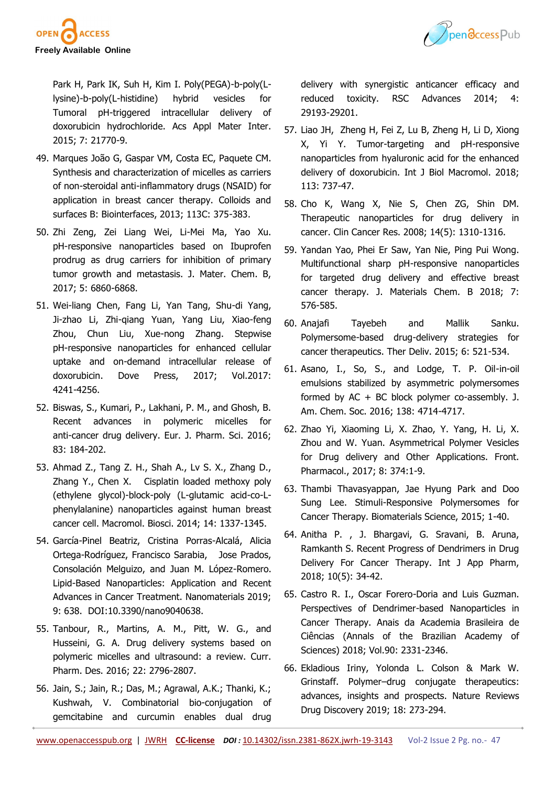



Park H, Park IK, Suh H, Kim I. Poly(PEGA)-b-poly(Llysine)-b-poly(L-histidine) hybrid vesicles for Tumoral pH-triggered intracellular delivery of doxorubicin hydrochloride. Acs Appl Mater Inter. 2015; 7: 21770-9.

- 49. Marques João G, Gaspar VM, Costa EC, Paquete CM. Synthesis and characterization of micelles as carriers of non-steroidal anti-inflammatory drugs (NSAID) for application in breast cancer therapy. Colloids and surfaces B: Biointerfaces, 2013; 113C: 375-383.
- 50. Zhi Zeng, Zei Liang Wei, Li-Mei Ma, Yao Xu. pH-responsive nanoparticles based on Ibuprofen prodrug as drug carriers for inhibition of primary tumor growth and metastasis. J. Mater. Chem. B, 2017; 5: 6860-6868.
- 51. Wei-liang Chen, Fang Li, Yan Tang, Shu-di Yang, Ji-zhao Li, Zhi-qiang Yuan, Yang Liu, Xiao-feng Zhou, Chun Liu, Xue-nong Zhang. Stepwise pH-responsive nanoparticles for enhanced cellular uptake and on-demand intracellular release of doxorubicin. Dove Press, 2017; Vol.2017: 4241-4256.
- 52. Biswas, S., Kumari, P., Lakhani, P. M., and Ghosh, B. Recent advances in polymeric micelles for anti-cancer drug delivery. Eur. J. Pharm. Sci. 2016; 83: 184-202.
- 53. Ahmad Z., Tang Z. H., Shah A., Lv S. X., Zhang D., Zhang Y., Chen X. Cisplatin loaded methoxy poly (ethylene glycol)-block-poly (L-glutamic acid-co-Lphenylalanine) nanoparticles against human breast cancer cell. Macromol. Biosci. 2014; 14: 1337-1345.
- 54. García-Pinel Beatriz, Cristina Porras-Alcalá, Alicia Ortega-Rodríguez, Francisco Sarabia, Jose Prados, Consolación Melguizo, and Juan M. López-Romero. Lipid-Based Nanoparticles: Application and Recent Advances in Cancer Treatment. Nanomaterials 2019; 9: 638. DOI:10.3390/nano9040638.
- 55. Tanbour, R., Martins, A. M., Pitt, W. G., and Husseini, G. A. Drug delivery systems based on polymeric micelles and ultrasound: a review. Curr. Pharm. Des. 2016; 22: 2796-2807.
- 56. Jain, S.; Jain, R.; Das, M.; Agrawal, A.K.; Thanki, K.; Kushwah, V. Combinatorial bio-conjugation of gemcitabine and curcumin enables dual drug

delivery with synergistic anticancer efficacy and reduced toxicity. RSC Advances 2014; 4: 29193-29201.

- 57. Liao JH, Zheng H, Fei Z, Lu B, Zheng H, Li D, Xiong X, Yi Y. Tumor-targeting and pH-responsive nanoparticles from hyaluronic acid for the enhanced delivery of doxorubicin. Int J Biol Macromol. 2018; 113: 737-47.
- 58. Cho K, Wang X, Nie S, Chen ZG, Shin DM. Therapeutic nanoparticles for drug delivery in cancer. Clin Cancer Res. 2008; 14(5): 1310-1316.
- 59. Yandan Yao, Phei Er Saw, Yan Nie, Ping Pui Wong. Multifunctional sharp pH-responsive nanoparticles for targeted drug delivery and effective breast cancer therapy. J. Materials Chem. B 2018; 7: 576-585.
- 60. Anajafi Tayebeh and Mallik Sanku. Polymersome-based drug-delivery strategies for cancer therapeutics. Ther Deliv. 2015; 6: 521-534.
- 61. Asano, I., So, S., and Lodge, T. P. Oil-in-oil emulsions stabilized by asymmetric polymersomes formed by AC + BC block polymer co-assembly. J. Am. Chem. Soc. 2016; 138: 4714-4717.
- 62. Zhao Yi, Xiaoming Li, X. Zhao, Y. Yang, H. Li, X. Zhou and W. Yuan. Asymmetrical Polymer Vesicles for Drug delivery and Other Applications. Front. Pharmacol., 2017; 8: 374:1-9.
- 63. Thambi Thavasyappan, Jae Hyung Park and Doo Sung Lee. Stimuli-Responsive Polymersomes for Cancer Therapy. Biomaterials Science, 2015; 1-40.
- 64. Anitha P. , J. Bhargavi, G. Sravani, B. Aruna, Ramkanth S. Recent Progress of Dendrimers in Drug Delivery For Cancer Therapy. Int J App Pharm, 2018; 10(5): 34-42.
- 65. Castro R. I., Oscar Forero-Doria and Luis Guzman. Perspectives of Dendrimer-based Nanoparticles in Cancer Therapy. Anais da Academia Brasileira de Ciências (Annals of the Brazilian Academy of Sciences) 2018; Vol.90: 2331-2346.
- 66. Ekladious Iriny, Yolonda L. Colson & Mark W. Grinstaff. Polymer–drug conjugate therapeutics: advances, insights and prospects. Nature Reviews Drug Discovery 2019; 18: 273-294.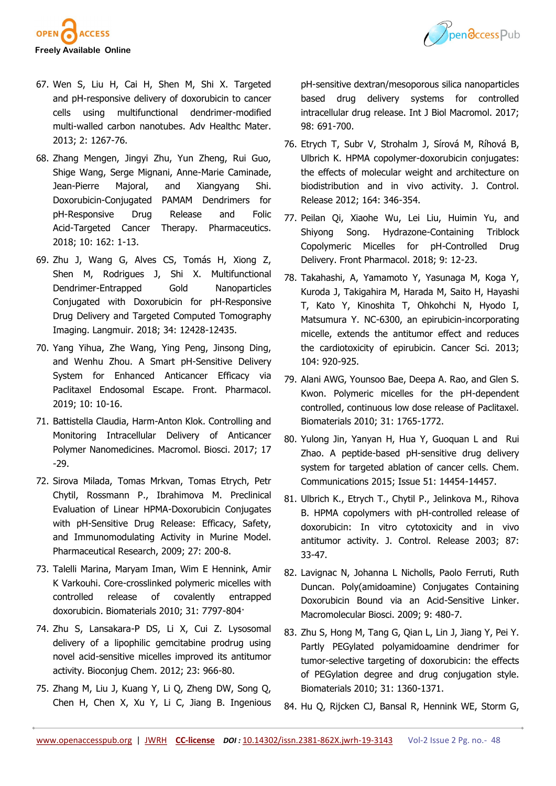



- 67. Wen S, Liu H, Cai H, Shen M, Shi X. Targeted and pH-responsive delivery of doxorubicin to cancer cells using multifunctional dendrimer-modified multi-walled carbon nanotubes. Adv Healthc Mater. 2013; 2: 1267-76.
- 68. Zhang Mengen, Jingyi Zhu, Yun Zheng, Rui Guo, Shige Wang, Serge Mignani, Anne-Marie Caminade, Jean-Pierre Majoral, and Xiangyang Shi. Doxorubicin-Conjugated PAMAM Dendrimers for pH-Responsive Drug Release and Folic Acid-Targeted Cancer Therapy. Pharmaceutics. 2018; 10: 162: 1-13.
- 69. Zhu J, Wang G, Alves CS, Tomás H, Xiong Z, Shen M, Rodrigues J, Shi X. Multifunctional Dendrimer-Entrapped Gold Nanoparticles Conjugated with Doxorubicin for pH-Responsive Drug Delivery and Targeted Computed Tomography Imaging. Langmuir. 2018; 34: 12428-12435.
- 70. Yang Yihua, Zhe Wang, Ying Peng, Jinsong Ding, and Wenhu Zhou. A Smart pH-Sensitive Delivery System for Enhanced Anticancer Efficacy via Paclitaxel Endosomal Escape. Front. Pharmacol. 2019; 10: 10-16.
- 71. Battistella Claudia, Harm‐Anton Klok. Controlling and Monitoring Intracellular Delivery of Anticancer Polymer Nanomedicines. Macromol. Biosci. 2017; 17 -29.
- 72. Sirova Milada, Tomas Mrkvan, Tomas Etrych, Petr Chytil, Rossmann P., Ibrahimova M. Preclinical Evaluation of Linear HPMA-Doxorubicin Conjugates with pH-Sensitive Drug Release: Efficacy, Safety, and Immunomodulating Activity in Murine Model. Pharmaceutical Research, 2009; 27: 200-8.
- 73. Talelli Marina, Maryam Iman, Wim E Hennink, Amir K Varkouhi. Core-crosslinked polymeric micelles with controlled release of covalently entrapped doxorubicin. Biomaterials 2010; 31: 7797-804·
- 74. Zhu S, Lansakara-P DS, Li X, Cui Z. Lysosomal delivery of a lipophilic gemcitabine prodrug using novel acid-sensitive micelles improved its antitumor activity. Bioconjug Chem. 2012; 23: 966-80.
- 75. Zhang M, Liu J, Kuang Y, Li Q, Zheng DW, Song Q, Chen H, Chen X, Xu Y, Li C, Jiang B. Ingenious

pH-sensitive dextran/mesoporous silica nanoparticles based drug delivery systems for controlled intracellular drug release. Int J Biol Macromol. 2017; 98: 691-700.

- 76. Etrych T, Subr V, Strohalm J, Sírová M, Ríhová B, Ulbrich K. HPMA copolymer-doxorubicin conjugates: the effects of molecular weight and architecture on biodistribution and in vivo activity. J. Control. Release 2012; 164: 346-354.
- 77. Peilan Qi, Xiaohe Wu, Lei Liu, Huimin Yu, and Shiyong Song. Hydrazone-Containing Triblock Copolymeric Micelles for pH-Controlled Drug Delivery. Front Pharmacol. 2018; 9: 12-23.
- 78. Takahashi, A, Yamamoto Y, Yasunaga M, Koga Y, Kuroda J, Takigahira M, Harada M, Saito H, Hayashi T, Kato Y, Kinoshita T, Ohkohchi N, Hyodo I, Matsumura Y. NC-6300, an epirubicin-incorporating micelle, extends the antitumor effect and reduces the cardiotoxicity of epirubicin. Cancer Sci. 2013; 104: 920-925.
- 79. Alani AWG, Younsoo Bae, Deepa A. Rao, and Glen S. Kwon. Polymeric micelles for the pH-dependent controlled, continuous low dose release of Paclitaxel. Biomaterials 2010; 31: 1765-1772.
- 80. Yulong Jin, Yanyan H, Hua Y, Guoquan L and Rui Zhao. A peptide-based pH-sensitive drug delivery system for targeted ablation of cancer cells. Chem. Communications 2015; Issue 51: 14454-14457.
- 81. Ulbrich K., Etrych T., Chytil P., Jelinkova M., Rihova B. HPMA copolymers with pH-controlled release of doxorubicin: In vitro cytotoxicity and in vivo antitumor activity. J. Control. Release 2003; 87: 33-47.
- 82. Lavignac N, Johanna L Nicholls, Paolo Ferruti, Ruth Duncan. Poly(amidoamine) Conjugates Containing Doxorubicin Bound via an Acid-Sensitive Linker. Macromolecular Biosci. 2009; 9: 480-7.
- 83. Zhu S, Hong M, Tang G, Qian L, Lin J, Jiang Y, Pei Y. Partly PEGylated polyamidoamine dendrimer for tumor-selective targeting of doxorubicin: the effects of PEGylation degree and drug conjugation style. Biomaterials 2010; 31: 1360-1371.
- 84. Hu Q, Rijcken CJ, Bansal R, Hennink WE, Storm G,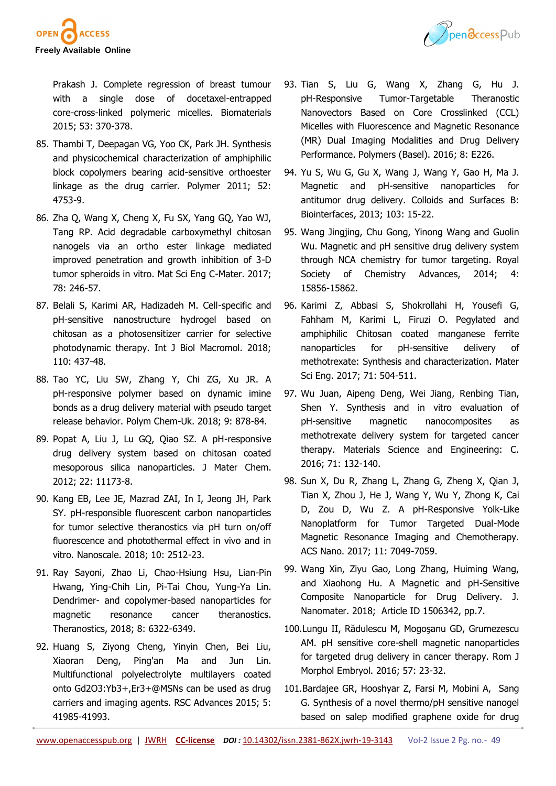

Ppendccess Pub

Prakash J. Complete regression of breast tumour with a single dose of docetaxel-entrapped core-cross-linked polymeric micelles. Biomaterials 2015; 53: 370-378.

- 85. Thambi T, Deepagan VG, Yoo CK, Park JH. Synthesis and physicochemical characterization of amphiphilic block copolymers bearing acid-sensitive orthoester linkage as the drug carrier. Polymer 2011; 52: 4753-9.
- 86. Zha Q, Wang X, Cheng X, Fu SX, Yang GQ, Yao WJ, Tang RP. Acid degradable carboxymethyl chitosan nanogels via an ortho ester linkage mediated improved penetration and growth inhibition of 3-D tumor spheroids in vitro. Mat Sci Eng C-Mater. 2017; 78: 246-57.
- 87. Belali S, Karimi AR, Hadizadeh M. Cell-specific and pH-sensitive nanostructure hydrogel based on chitosan as a photosensitizer carrier for selective photodynamic therapy. Int J Biol Macromol. 2018; 110: 437-48.
- 88. Tao YC, Liu SW, Zhang Y, Chi ZG, Xu JR. A pH-responsive polymer based on dynamic imine bonds as a drug delivery material with pseudo target release behavior. Polym Chem-Uk. 2018; 9: 878-84.
- 89. Popat A, Liu J, Lu GQ, Qiao SZ. A pH-responsive drug delivery system based on chitosan coated mesoporous silica nanoparticles. J Mater Chem. 2012; 22: 11173-8.
- 90. Kang EB, Lee JE, Mazrad ZAI, In I, Jeong JH, Park SY. pH-responsible fluorescent carbon nanoparticles for tumor selective theranostics via pH turn on/off fluorescence and photothermal effect in vivo and in vitro. Nanoscale. 2018; 10: 2512-23.
- 91. Ray Sayoni, Zhao Li, Chao-Hsiung Hsu, Lian-Pin Hwang, Ying-Chih Lin, Pi-Tai Chou, Yung-Ya Lin. Dendrimer- and copolymer-based nanoparticles for magnetic resonance cancer theranostics. Theranostics, 2018; 8: 6322-6349.
- 92. Huang S, Ziyong Cheng, Yinyin Chen, Bei Liu, Xiaoran Deng, Ping'an Ma and Jun Lin. Multifunctional polyelectrolyte multilayers coated onto Gd2O3:Yb3+,Er3+@MSNs can be used as drug carriers and imaging agents. RSC Advances 2015; 5: 41985-41993.
- 93. Tian S, Liu G, Wang X, Zhang G, Hu J. pH-Responsive Tumor-Targetable Theranostic Nanovectors Based on Core Crosslinked (CCL) Micelles with Fluorescence and Magnetic Resonance (MR) Dual Imaging Modalities and Drug Delivery Performance. Polymers (Basel). 2016; 8: E226.
- 94. Yu S, Wu G, Gu X, Wang J, Wang Y, Gao H, Ma J. Magnetic and pH-sensitive nanoparticles for antitumor drug delivery. Colloids and Surfaces B: Biointerfaces, 2013; 103: 15-22.
- 95. Wang Jingjing, Chu Gong, Yinong Wang and Guolin Wu. Magnetic and pH sensitive drug delivery system through NCA chemistry for tumor targeting. Royal Society of Chemistry Advances, 2014; 4: 15856-15862.
- 96. Karimi Z, Abbasi S, Shokrollahi H, Yousefi G, Fahham M, Karimi L, Firuzi O. Pegylated and amphiphilic Chitosan coated manganese ferrite nanoparticles for pH-sensitive delivery of methotrexate: Synthesis and characterization. Mater Sci Eng. 2017; 71: 504-511.
- 97. Wu Juan, Aipeng Deng, Wei Jiang, Renbing Tian, Shen Y. Synthesis and in vitro evaluation of pH-sensitive magnetic nanocomposites as methotrexate delivery system for targeted cancer therapy. Materials Science and Engineering: C. 2016; 71: 132-140.
- 98. Sun X, Du R, Zhang L, Zhang G, Zheng X, Qian J, Tian X, Zhou J, He J, Wang Y, Wu Y, Zhong K, Cai D, Zou D, Wu Z. A pH-Responsive Yolk-Like Nanoplatform for Tumor Targeted Dual-Mode Magnetic Resonance Imaging and Chemotherapy. ACS Nano. 2017; 11: 7049-7059.
- 99. Wang Xin, Ziyu Gao, Long Zhang, Huiming Wang, and Xiaohong Hu. A Magnetic and pH-Sensitive Composite Nanoparticle for Drug Delivery. J. Nanomater. 2018; Article ID 1506342, pp.7.
- 100.Lungu II, Rădulescu M, Mogoşanu GD, Grumezescu AM. pH sensitive core-shell magnetic nanoparticles for targeted drug delivery in cancer therapy. Rom J Morphol Embryol. 2016; 57: 23-32.
- 101.Bardajee GR, Hooshyar Z, Farsi M, Mobini A, Sang G. Synthesis of a novel thermo/pH sensitive nanogel based on salep modified graphene oxide for drug